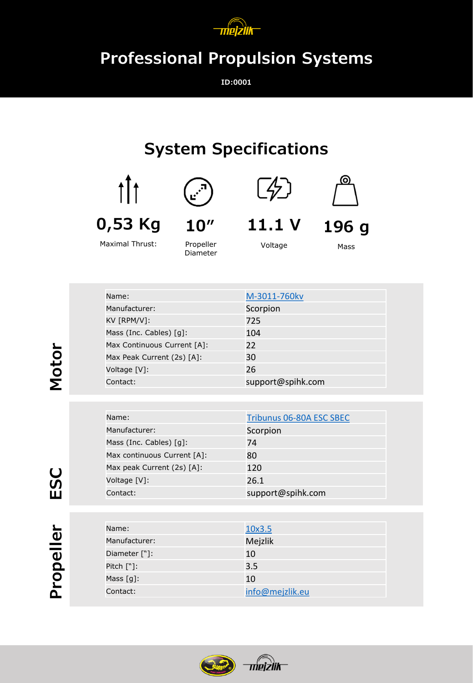

## **Professional Propulsion Systems**

**ID:0001**

## **System Specifications**





Maximal Thrust:



Propeller Diameter





**196 g**

**11.1 V**

<u>′⁄</u>

Voltage

Mass

| Name:                                  | M-3011-760kv      |
|----------------------------------------|-------------------|
| Manufacturer:                          | Scorpion          |
| KV [RPM/V]:                            | 725               |
| Mass (Inc. Cables) $\lceil q \rceil$ : | 104               |
| Max Continuous Current [A]:            | 22                |
| Max Peak Current (2s) [A]:             | 30                |
| Voltage [V]:                           | 26                |
| Contact:                               | support@spihk.com |

| Name:                                  | Tribunus 06-80A ESC SBEC |
|----------------------------------------|--------------------------|
| Manufacturer:                          | Scorpion                 |
| Mass (Inc. Cables) $\lceil q \rceil$ : | 74                       |
| Max continuous Current [A]:            | 80                       |
| Max peak Current (2s) [A]:             | 120                      |
| Voltage [V]:                           | 26.1                     |
| Contact:                               | support@spihk.com        |

| Name:         | 10x3.5          |
|---------------|-----------------|
| Manufacturer: | Mejzlik         |
| Diameter ["]: | 10              |
| Pitch $[\n$ : | 3.5             |
| Mass $[q]$ :  | 10              |
| Contact:      | info@mejzlik.eu |
|               |                 |



**Motor**